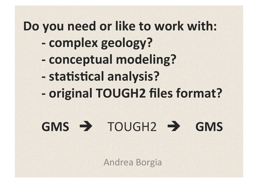# Do you need or like to work with: - complex geology? - conceptual modeling? - statistical analysis? - original TOUGH2 files format?

# $GMS \rightarrow TOUGH2 \rightarrow GMS$

Andrea Borgia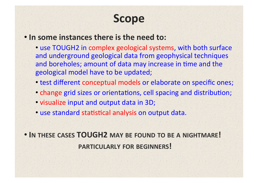## **Scope#**

### • In some instances there is the need to:

• use TOUGH2 in complex geological systems, with both surface and underground geological data from geophysical techniques and boreholes; amount of data may increase in time and the geological model have to be updated;

- test different conceptual models or elaborate on specific ones;
- change grid sizes or orientations, cell spacing and distribution;
- visualize input and output data in 3D;
- use standard statistical analysis on output data.

• **IN THESE CASES#TOUGH2#MAY BE FOUND TO BE A NIGHTMARE!# ############################PARTICULARLY FOR BEGINNERS!#**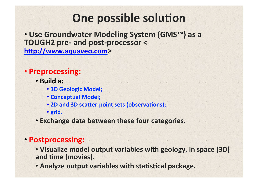# One possible solution

• Use Groundwater Modeling System (GMSTM) as a **TOUGH2 pre- and post-processor <** http://www.aquaveo.com>

### · Preprocessing:

- · Build a:
	- **3D Geologic Model;**
	- **Conceptual Model;**
	- . 2D and 3D scatter-point sets (observations);
	- · grid.
- Exchange data between these four categories.

### • Postprocessing:

- . Visualize model output variables with geology, in space (3D) and time (movies).
- . Analyze output variables with statistical package.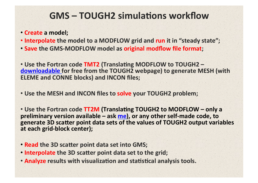### **GMS – TOUGH2 simulations workflow**

• Create a model;

- Interpolate the model to a MODFLOW grid and run it in "steady state";
- Save the GMS-MODFLOW model as original modflow file format;

• Use the Fortran code TMT2 (Translating MODFLOW to TOUGH2 downloadable for free from the TOUGH2 webpage) to generate MESH (with **ELEME and CONNE blocks) and INCON files;** 

• Use the MESH and INCON files to solve your TOUGH2 problem;

• Use the Fortran code TT2M (Translating TOUGH2 to MODFLOW – only a **preliminary version available – ask me), or any other self-made code, to** generate 3D scatter point data sets of the values of TOUGH2 output variables at each grid-block center);

- **Read the 3D scatter point data set into GMS;**
- **Interpolate the 3D scatter point data set to the grid;**
- **Analyze results with visualization and statistical analysis tools.**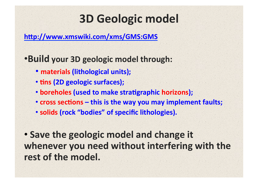# **3D Geologic model**

http://www.xmswiki.com/xms/GMS:GMS

**•Build your 3D geologic model through:** 

- materials (lithological units);
- tins (2D geologic surfaces);
- boreholes (used to make stratigraphic horizons);
- **cross sections this is the way you may implement faults;**
- solids (rock "bodies" of specific lithologies).

• Save the geologic model and change it whenever you need without interfering with the rest of the model.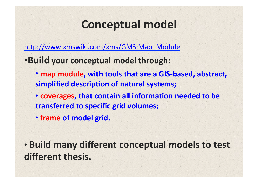## **Conceptual model**

http://www.xmswiki.com/xms/GMS:Map\_Module

**•Build your conceptual model through:** 

• map module, with tools that are a GIS-based, abstract, simplified description of natural systems;

• **coverages, that contain all information needed to be transferred to specific grid volumes;** 

• frame of model grid.

**• Build many different conceptual models to test** different thesis.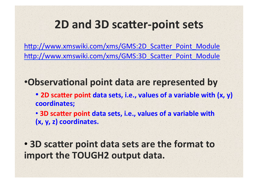### **2D and 3D scatter-point sets**

http://www.xmswiki.com/xms/GMS:2D\_Scatter\_Point\_Module http://www.xmswiki.com/xms/GMS:3D Scatter Point Module

**•Observational point data are represented by** 

• 2D scatter point data sets, i.e., values of a variable with (x, y) coordinates;

• **3D scatter point data sets, i.e., values of a variable with (x,#y,#z)#coordinates.#**

• **3D scatter point data sets are the format to** import the TOUGH2 output data.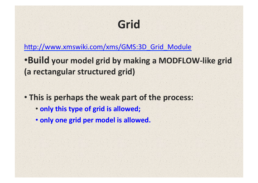# **Grid#**

http://www.xmswiki.com/xms/GMS:3D Grid Module

- **•Build your model grid by making a MODFLOW-like grid (a rectangular structured grid)**
- This is perhaps the weak part of the process:
	- only this type of grid is allowed;
	- only one grid per model is allowed.